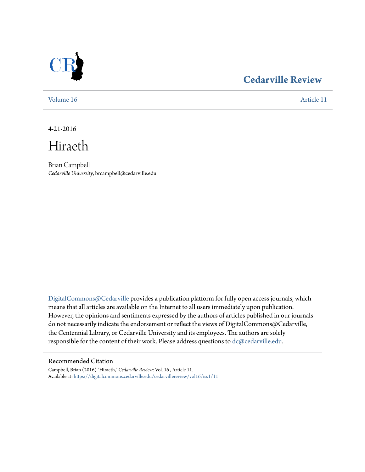

## **[Cedarville Review](https://digitalcommons.cedarville.edu/cedarvillereview?utm_source=digitalcommons.cedarville.edu%2Fcedarvillereview%2Fvol16%2Fiss1%2F11&utm_medium=PDF&utm_campaign=PDFCoverPages)**

[Volume 16](https://digitalcommons.cedarville.edu/cedarvillereview/vol16?utm_source=digitalcommons.cedarville.edu%2Fcedarvillereview%2Fvol16%2Fiss1%2F11&utm_medium=PDF&utm_campaign=PDFCoverPages) [Article 11](https://digitalcommons.cedarville.edu/cedarvillereview/vol16/iss1/11?utm_source=digitalcommons.cedarville.edu%2Fcedarvillereview%2Fvol16%2Fiss1%2F11&utm_medium=PDF&utm_campaign=PDFCoverPages)

4-21-2016

Hiraeth

Brian Campbell *Cedarville University*, brcampbell@cedarville.edu

[DigitalCommons@Cedarville](http://digitalcommons.cedarville.edu) provides a publication platform for fully open access journals, which means that all articles are available on the Internet to all users immediately upon publication. However, the opinions and sentiments expressed by the authors of articles published in our journals do not necessarily indicate the endorsement or reflect the views of DigitalCommons@Cedarville, the Centennial Library, or Cedarville University and its employees. The authors are solely responsible for the content of their work. Please address questions to [dc@cedarville.edu](mailto:dc@cedarville.edu).

#### Recommended Citation

Campbell, Brian (2016) "Hiraeth," *Cedarville Review*: Vol. 16 , Article 11. Available at: [https://digitalcommons.cedarville.edu/cedarvillereview/vol16/iss1/11](https://digitalcommons.cedarville.edu/cedarvillereview/vol16/iss1/11?utm_source=digitalcommons.cedarville.edu%2Fcedarvillereview%2Fvol16%2Fiss1%2F11&utm_medium=PDF&utm_campaign=PDFCoverPages)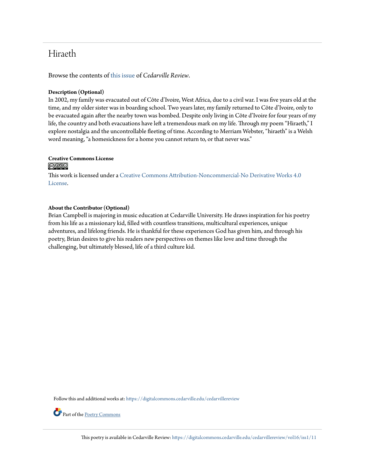## Hiraeth

Browse the contents of [this issue](https://digitalcommons.cedarville.edu/cedarvillereview/vol16/iss1) of *Cedarville Review*.

### **Description (Optional)**

In 2002, my family was evacuated out of Côte d'Ivoire, West Africa, due to a civil war. I was five years old at the time, and my older sister was in boarding school. Two years later, my family returned to Côte d'Ivoire, only to be evacuated again after the nearby town was bombed. Despite only living in Côte d'Ivoire for four years of my life, the country and both evacuations have left a tremendous mark on my life. Through my poem "Hiraeth," I explore nostalgia and the uncontrollable fleeting of time. According to Merriam Webster, "hiraeth" is a Welsh word meaning, "a homesickness for a home you cannot return to, or that never was."

#### **Creative Commons License** <u>@0®ම</u>

This work is licensed under a [Creative Commons Attribution-Noncommercial-No Derivative Works 4.0](http://creativecommons.org/licenses/by-nc-nd/4.0/) [License.](http://creativecommons.org/licenses/by-nc-nd/4.0/)

#### **About the Contributor (Optional)**

Brian Campbell is majoring in music education at Cedarville University. He draws inspiration for his poetry from his life as a missionary kid, filled with countless transitions, multicultural experiences, unique adventures, and lifelong friends. He is thankful for these experiences God has given him, and through his poetry, Brian desires to give his readers new perspectives on themes like love and time through the challenging, but ultimately blessed, life of a third culture kid.

Follow this and additional works at: [https://digitalcommons.cedarville.edu/cedarvillereview](https://digitalcommons.cedarville.edu/cedarvillereview?utm_source=digitalcommons.cedarville.edu%2Fcedarvillereview%2Fvol16%2Fiss1%2F11&utm_medium=PDF&utm_campaign=PDFCoverPages)

Part of the [Poetry Commons](http://network.bepress.com/hgg/discipline/1153?utm_source=digitalcommons.cedarville.edu%2Fcedarvillereview%2Fvol16%2Fiss1%2F11&utm_medium=PDF&utm_campaign=PDFCoverPages)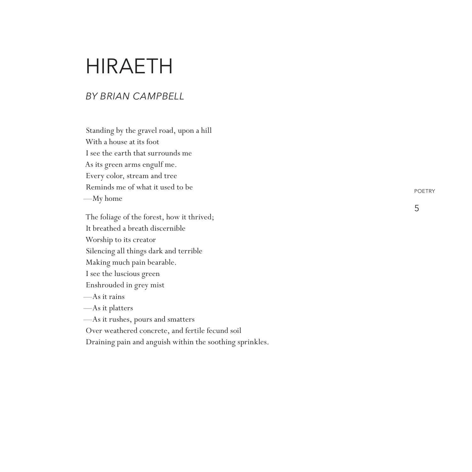# **HIRAETH**

#### *By Bri an C mpbell a*

Standing by the gravel road, upon a hill With a house at its foot I see the earth that surrounds me As its green arms engulf me. Every color, stream and tree Reminds me of what it used to be —My home

The foliage of the forest, how it thrived; It breathed a breath discernible Worship to its creator Silencing all things dark and terrible Making much pain bearable. I see the luscious green Enshrouded in grey mist —As it rains —As it platters —As it rushes, pours and smatters Over weathered concrete, and fertile fecund soil

Draining pain and anguish within the soothing sprinkles.

POETRY

5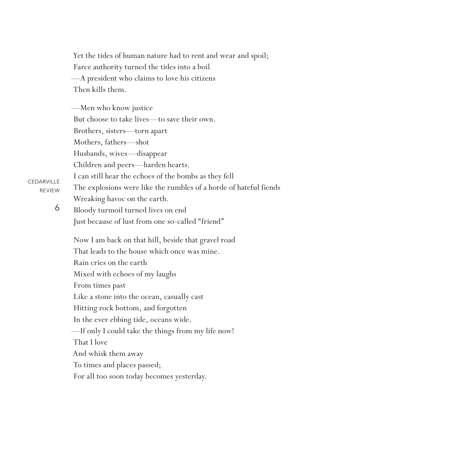Yet the tides of human nature had to rent and wear and spoil; Farce authority turned the tides into a boil —A president who claims to love his citizens Then kills them.

—Men who know justice But choose to take lives—to save their own. Brothers, sisters—torn apart Mothers, fathers—shot Husbands, wives—disappear Children and peers—harden hearts. I can still hear the echoes of the bombs as they fell The explosions were like the rumbles of a horde of hateful fiends Wreaking havoc on the earth.

**CEDARVILLE** REVIEW

6

Bloody turmoil turned lives on end Just because of lust from one so-called "friend"

Now I am back on that hill, beside that gravel road That leads to the house which once was mine. Rain cries on the earth Mixed with echoes of my laughs From times past Like a stone into the ocean, casually cast Hitting rock bottom, and forgotten In the ever ebbing tide, oceans wide. —If only I could take the things from my life now! That I love And whisk them away To times and places passed; For all too soon today becomes yesterday.